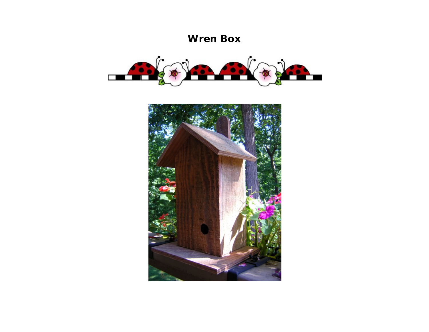## **Wren Box**



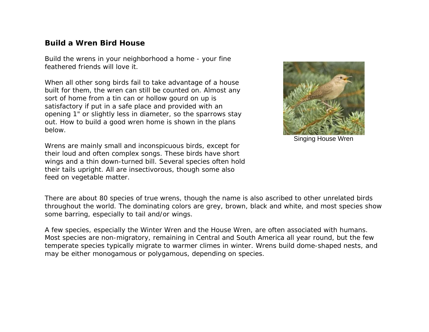## **Build a Wren Bird House**

Build the wrens in your neighborhood a home - your fine feathered friends will love it.

When all other song birds fail to take advantage of a house built for them, the wren can still be counted on. Almost any sort of home from a tin can or hollow gourd on up is satisfactory if put in a safe place and provided with an opening 1" or slightly less in diameter, so the sparrows stay out. How to build a good wren home is shown in the plans below.





Singing House Wren

There are about 80 species of true wrens, though the name is also ascribed to other unrelated birds throughout the world. The dominating colors are grey, brown, black and white, and most species show some barring, especially to tail and/or wings.

A few species, especially the Winter Wren and the House Wren, are often associated with humans. Most species are non-migratory, remaining in Central and South America all year round, but the few temperate species typically migrate to warmer climes in winter. Wrens build dome-shaped nests, and may be either monogamous or polygamous, depending on species.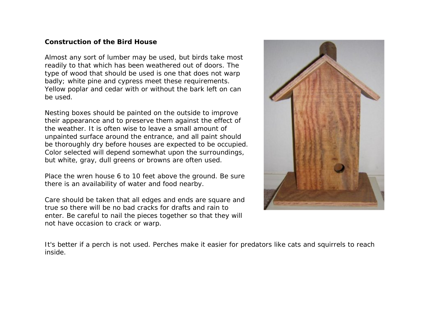## **Construction of the Bird House**

Almost any sort of lumber may be used, but birds take most readily to that which has been weathered out of doors. The type of wood that should be used is one that does not warp badly; white pine and cypress meet these requirements. Yellow poplar and cedar with or without the bark left on can be used.

Nesting boxes should be painted on the outside to improve their appearance and to preserve them against the effect of the weather. It is often wise to leave a small amount of unpainted surface around the entrance, and all paint should be thoroughly dry before houses are expected to be occupied. Color selected will depend somewhat upon the surroundings, but white, gray, dull greens or browns are often used.

Place the wren house 6 to 10 feet above the ground. Be sure there is an availability of water and food nearby.

Care should be taken that all edges and ends are square and true so there will be no bad cracks for drafts and rain to enter. Be careful to nail the pieces together so that they will not have occasion to crack or warp.



It's better if a perch is not used. Perches make it easier for predators like cats and squirrels to reach inside.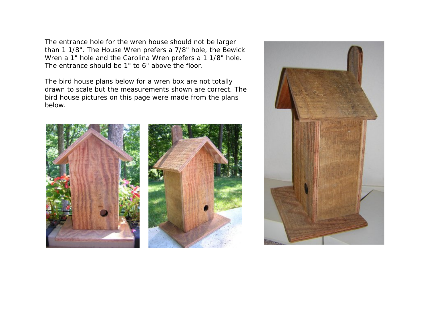The entrance hole for the wren house should not be larger than 1 1/8". The House Wren prefers a 7/8" hole, the Bewick Wren a 1" hole and the Carolina Wren prefers a 1 1/8" hole. The entrance should be 1" to 6" above the floor.

The bird house plans below for a wren box are not totally drawn to scale but the measurements shown are correct. The bird house pictures on this page were made from the plans below.